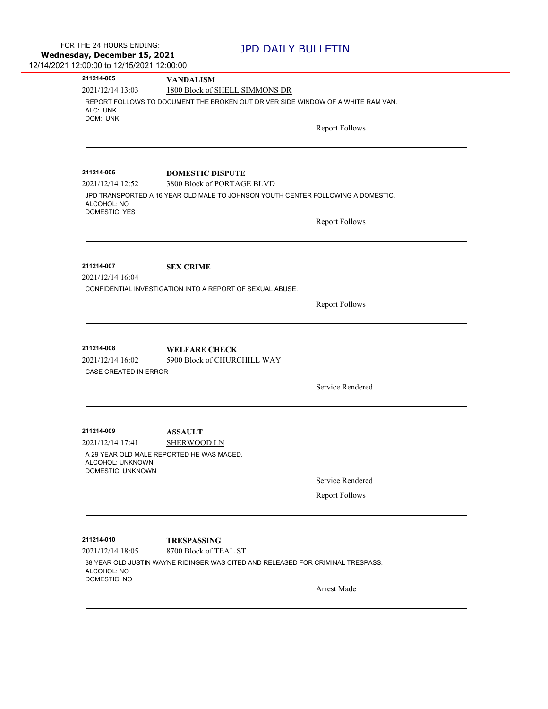| 1800 Block of SHELL SIMMONS DR<br>REPORT FOLLOWS TO DOCUMENT THE BROKEN OUT DRIVER SIDE WINDOW OF A WHITE RAM VAN.<br>ALC: UNK<br>DOM: UNK<br><b>Report Follows</b><br><b>DOMESTIC DISPUTE</b><br>3800 Block of PORTAGE BLVD<br>JPD TRANSPORTED A 16 YEAR OLD MALE TO JOHNSON YOUTH CENTER FOLLOWING A DOMESTIC.<br>ALCOHOL: NO<br><b>DOMESTIC: YES</b><br><b>Report Follows</b><br><b>SEX CRIME</b><br>CONFIDENTIAL INVESTIGATION INTO A REPORT OF SEXUAL ABUSE.<br><b>Report Follows</b><br>211214-008<br><b>WELFARE CHECK</b><br>5900 Block of CHURCHILL WAY<br>CASE CREATED IN ERROR<br>Service Rendered<br><b>ASSAULT</b><br><b>SHERWOOD LN</b><br>A 29 YEAR OLD MALE REPORTED HE WAS MACED.<br>ALCOHOL: UNKNOWN<br>DOMESTIC: UNKNOWN<br>Service Rendered<br><b>Report Follows</b><br><b>TRESPASSING</b><br>8700 Block of TEAL ST<br>38 YEAR OLD JUSTIN WAYNE RIDINGER WAS CITED AND RELEASED FOR CRIMINAL TRESPASS.<br>ALCOHOL: NO<br><b>DOMESTIC: NO</b><br>Arrest Made | 211214-005       | <b>VANDALISM</b> |
|--------------------------------------------------------------------------------------------------------------------------------------------------------------------------------------------------------------------------------------------------------------------------------------------------------------------------------------------------------------------------------------------------------------------------------------------------------------------------------------------------------------------------------------------------------------------------------------------------------------------------------------------------------------------------------------------------------------------------------------------------------------------------------------------------------------------------------------------------------------------------------------------------------------------------------------------------------------------------------|------------------|------------------|
|                                                                                                                                                                                                                                                                                                                                                                                                                                                                                                                                                                                                                                                                                                                                                                                                                                                                                                                                                                                | 2021/12/14 13:03 |                  |
|                                                                                                                                                                                                                                                                                                                                                                                                                                                                                                                                                                                                                                                                                                                                                                                                                                                                                                                                                                                |                  |                  |
|                                                                                                                                                                                                                                                                                                                                                                                                                                                                                                                                                                                                                                                                                                                                                                                                                                                                                                                                                                                |                  |                  |
|                                                                                                                                                                                                                                                                                                                                                                                                                                                                                                                                                                                                                                                                                                                                                                                                                                                                                                                                                                                |                  |                  |
|                                                                                                                                                                                                                                                                                                                                                                                                                                                                                                                                                                                                                                                                                                                                                                                                                                                                                                                                                                                |                  |                  |
|                                                                                                                                                                                                                                                                                                                                                                                                                                                                                                                                                                                                                                                                                                                                                                                                                                                                                                                                                                                |                  |                  |
|                                                                                                                                                                                                                                                                                                                                                                                                                                                                                                                                                                                                                                                                                                                                                                                                                                                                                                                                                                                | 211214-006       |                  |
|                                                                                                                                                                                                                                                                                                                                                                                                                                                                                                                                                                                                                                                                                                                                                                                                                                                                                                                                                                                | 2021/12/14 12:52 |                  |
|                                                                                                                                                                                                                                                                                                                                                                                                                                                                                                                                                                                                                                                                                                                                                                                                                                                                                                                                                                                |                  |                  |
|                                                                                                                                                                                                                                                                                                                                                                                                                                                                                                                                                                                                                                                                                                                                                                                                                                                                                                                                                                                |                  |                  |
|                                                                                                                                                                                                                                                                                                                                                                                                                                                                                                                                                                                                                                                                                                                                                                                                                                                                                                                                                                                |                  |                  |
|                                                                                                                                                                                                                                                                                                                                                                                                                                                                                                                                                                                                                                                                                                                                                                                                                                                                                                                                                                                |                  |                  |
|                                                                                                                                                                                                                                                                                                                                                                                                                                                                                                                                                                                                                                                                                                                                                                                                                                                                                                                                                                                | 211214-007       |                  |
|                                                                                                                                                                                                                                                                                                                                                                                                                                                                                                                                                                                                                                                                                                                                                                                                                                                                                                                                                                                | 2021/12/14 16:04 |                  |
|                                                                                                                                                                                                                                                                                                                                                                                                                                                                                                                                                                                                                                                                                                                                                                                                                                                                                                                                                                                |                  |                  |
|                                                                                                                                                                                                                                                                                                                                                                                                                                                                                                                                                                                                                                                                                                                                                                                                                                                                                                                                                                                |                  |                  |
|                                                                                                                                                                                                                                                                                                                                                                                                                                                                                                                                                                                                                                                                                                                                                                                                                                                                                                                                                                                |                  |                  |
|                                                                                                                                                                                                                                                                                                                                                                                                                                                                                                                                                                                                                                                                                                                                                                                                                                                                                                                                                                                |                  |                  |
|                                                                                                                                                                                                                                                                                                                                                                                                                                                                                                                                                                                                                                                                                                                                                                                                                                                                                                                                                                                |                  |                  |
|                                                                                                                                                                                                                                                                                                                                                                                                                                                                                                                                                                                                                                                                                                                                                                                                                                                                                                                                                                                | 2021/12/14 16:02 |                  |
|                                                                                                                                                                                                                                                                                                                                                                                                                                                                                                                                                                                                                                                                                                                                                                                                                                                                                                                                                                                |                  |                  |
|                                                                                                                                                                                                                                                                                                                                                                                                                                                                                                                                                                                                                                                                                                                                                                                                                                                                                                                                                                                |                  |                  |
|                                                                                                                                                                                                                                                                                                                                                                                                                                                                                                                                                                                                                                                                                                                                                                                                                                                                                                                                                                                |                  |                  |
|                                                                                                                                                                                                                                                                                                                                                                                                                                                                                                                                                                                                                                                                                                                                                                                                                                                                                                                                                                                |                  |                  |
|                                                                                                                                                                                                                                                                                                                                                                                                                                                                                                                                                                                                                                                                                                                                                                                                                                                                                                                                                                                | 211214-009       |                  |
|                                                                                                                                                                                                                                                                                                                                                                                                                                                                                                                                                                                                                                                                                                                                                                                                                                                                                                                                                                                | 2021/12/14 17:41 |                  |
|                                                                                                                                                                                                                                                                                                                                                                                                                                                                                                                                                                                                                                                                                                                                                                                                                                                                                                                                                                                |                  |                  |
|                                                                                                                                                                                                                                                                                                                                                                                                                                                                                                                                                                                                                                                                                                                                                                                                                                                                                                                                                                                |                  |                  |
|                                                                                                                                                                                                                                                                                                                                                                                                                                                                                                                                                                                                                                                                                                                                                                                                                                                                                                                                                                                |                  |                  |
|                                                                                                                                                                                                                                                                                                                                                                                                                                                                                                                                                                                                                                                                                                                                                                                                                                                                                                                                                                                |                  |                  |
|                                                                                                                                                                                                                                                                                                                                                                                                                                                                                                                                                                                                                                                                                                                                                                                                                                                                                                                                                                                |                  |                  |
|                                                                                                                                                                                                                                                                                                                                                                                                                                                                                                                                                                                                                                                                                                                                                                                                                                                                                                                                                                                | 211214-010       |                  |
|                                                                                                                                                                                                                                                                                                                                                                                                                                                                                                                                                                                                                                                                                                                                                                                                                                                                                                                                                                                | 2021/12/14 18:05 |                  |
|                                                                                                                                                                                                                                                                                                                                                                                                                                                                                                                                                                                                                                                                                                                                                                                                                                                                                                                                                                                |                  |                  |
|                                                                                                                                                                                                                                                                                                                                                                                                                                                                                                                                                                                                                                                                                                                                                                                                                                                                                                                                                                                |                  |                  |
|                                                                                                                                                                                                                                                                                                                                                                                                                                                                                                                                                                                                                                                                                                                                                                                                                                                                                                                                                                                |                  |                  |